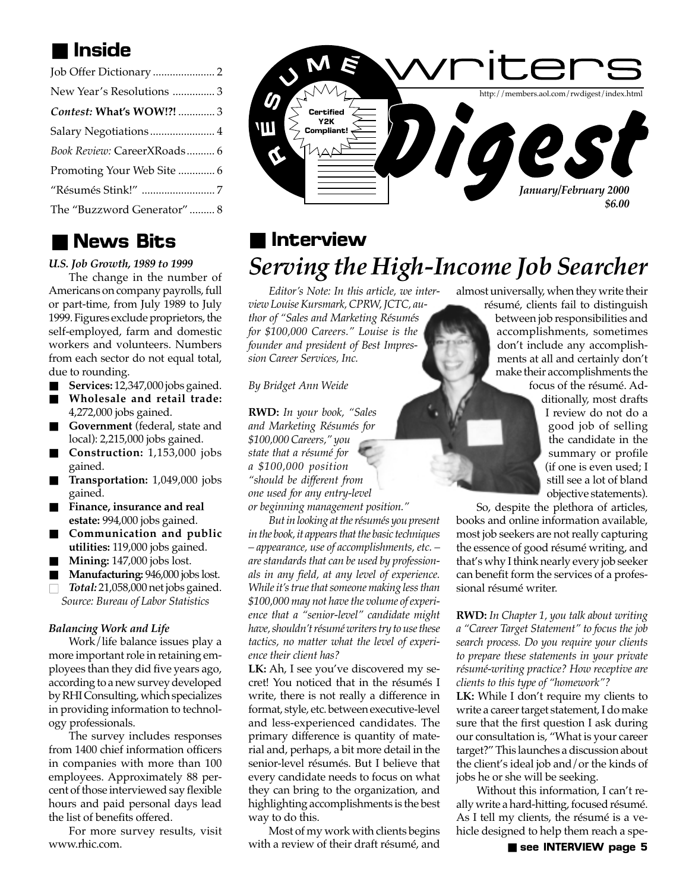## ■ **Inside**

| New Year's Resolutions 3    |
|-----------------------------|
| Contest: What's WOW!?!  3   |
| Salary Negotiations  4      |
| Book Review: CareerXRoads 6 |
| Promoting Your Web Site  6  |
|                             |
| The "Buzzword Generator" 8  |

### ■ **News Bits**

#### *U.S. Job Growth, 1989 to 1999*

The change in the number of Americans on company payrolls, full or part-time, from July 1989 to July 1999. Figures exclude proprietors, the self-employed, farm and domestic workers and volunteers. Numbers from each sector do not equal total, due to rounding.

- **Services:** 12,347,000 jobs gained.
- Wholesale and retail trade: 4,272,000 jobs gained.
- **Government** (federal, state and local): 2,215,000 jobs gained.
- **Construction:** 1,153,000 jobs gained.
- **Transportation:** 1,049,000 jobs gained.
- **Finance**, insurance and real **estate:** 994,000 jobs gained.
- **Communication and public utilities:** 119,000 jobs gained.
- **Mining:** 147,000 jobs lost.
- **Manufacturing: 946,000 jobs lost.**
- *Total:* 21,058,000 net jobs gained. *Source: Bureau of Labor Statistics*

#### *Balancing Work and Life*

Work/life balance issues play a more important role in retaining employees than they did five years ago, according to a new survey developed by RHI Consulting, which specializes in providing information to technology professionals.

The survey includes responses from 1400 chief information officers in companies with more than 100 employees. Approximately 88 percent of those interviewed say flexible hours and paid personal days lead the list of benefits offered.

For more survey results, visit www.rhic.com.



## *Serving the High-Income Job Searcher* ■ **Interview**

*Editor's Note: In this article, we interview Louise Kursmark, CPRW, JCTC, author of "Sales and Marketing Résumés for \$100,000 Careers." Louise is the founder and president of Best Impression Career Services, Inc.*

*By Bridget Ann Weide*

**RWD:** *In your book, "Sales and Marketing Résumés for \$100,000 Careers," you state that a résumé for a \$100,000 position "should be different from one used for any entry-level or beginning management position."*

*But in looking at the résumés you present in the book, it appears that the basic techniques – appearance, use of accomplishments, etc. – are standards that can be used by professionals in any field, at any level of experience. While it's true that someone making less than \$100,000 may not have the volume of experience that a "senior-level" candidate might have, shouldn't résumé writers try to use these tactics, no matter what the level of experience their client has?*

**LK:** Ah, I see you've discovered my secret! You noticed that in the résumés I write, there is not really a difference in format, style, etc. between executive-level and less-experienced candidates. The primary difference is quantity of material and, perhaps, a bit more detail in the senior-level résumés. But I believe that every candidate needs to focus on what they can bring to the organization, and highlighting accomplishments is the best way to do this.

Most of my work with clients begins with a review of their draft résumé, and almost universally, when they write their

résumé, clients fail to distinguish between job responsibilities and accomplishments, sometimes don't include any accomplishments at all and certainly don't make their accomplishments the focus of the résumé. Ad-

> ditionally, most drafts I review do not do a good job of selling the candidate in the summary or profile (if one is even used; I still see a lot of bland objective statements).

So, despite the plethora of articles, books and online information available, most job seekers are not really capturing the essence of good résumé writing, and that's why I think nearly every job seeker can benefit form the services of a professional résumé writer.

**RWD:** *In Chapter 1, you talk about writing a "Career Target Statement" to focus the job search process. Do you require your clients to prepare these statements in your private résumé-writing practice? How receptive are clients to this type of "homework"?*

**LK:** While I don't require my clients to write a career target statement, I do make sure that the first question I ask during our consultation is, "What is your career target?" This launches a discussion about the client's ideal job and/or the kinds of jobs he or she will be seeking.

Without this information, I can't really write a hard-hitting, focused résumé. As I tell my clients, the résumé is a vehicle designed to help them reach a spe-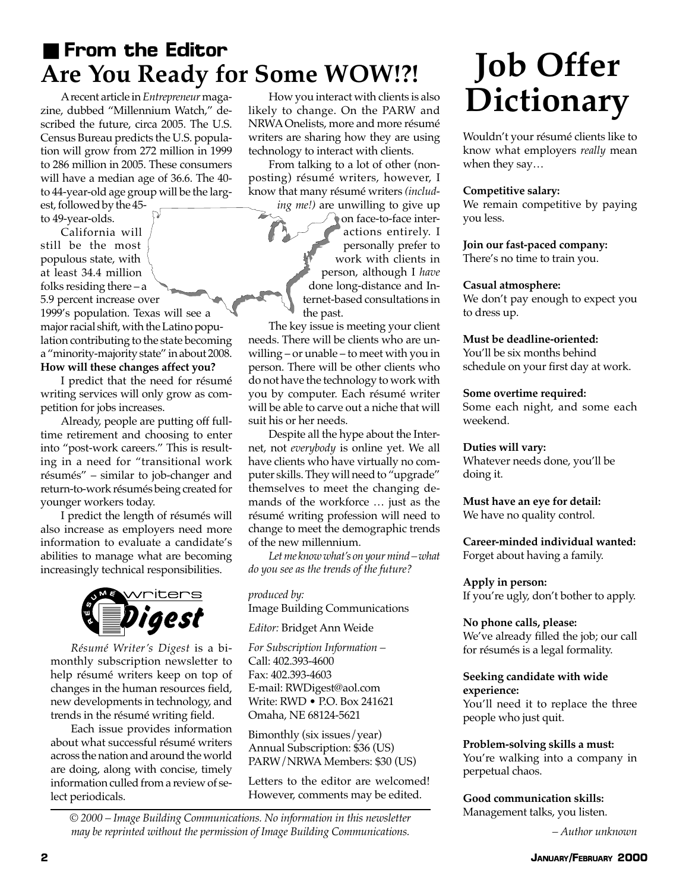## ■ **From the Editor Are You Ready for Some WOW!?!**

A recent article in *Entrepreneur* magazine, dubbed "Millennium Watch," described the future, circa 2005. The U.S. Census Bureau predicts the U.S. population will grow from 272 million in 1999 to 286 million in 2005. These consumers will have a median age of 36.6. The 40 to 44-year-old age group will be the larg-

est, followed by the 45 to 49-year-olds. California will still be the most

populous state, with at least 34.4 million folks residing there – a 5.9 percent increase over 1999's population. Texas will see a major racial shift, with the Latino population contributing to the state becoming a "minority-majority state" in about 2008. **How will these changes affect you?**

I predict that the need for résumé writing services will only grow as competition for jobs increases.

Already, people are putting off fulltime retirement and choosing to enter into "post-work careers." This is resulting in a need for "transitional work résumés" – similar to job-changer and return-to-work résumés being created for younger workers today.

I predict the length of résumés will also increase as employers need more information to evaluate a candidate's abilities to manage what are becoming increasingly technical responsibilities.



*Résumé Writer's Digest* is a bimonthly subscription newsletter to help résumé writers keep on top of changes in the human resources field, new developments in technology, and trends in the résumé writing field.

Each issue provides information about what successful résumé writers across the nation and around the world are doing, along with concise, timely information culled from a review of select periodicals.

How you interact with clients is also likely to change. On the PARW and NRWA Onelists, more and more résumé writers are sharing how they are using technology to interact with clients.

From talking to a lot of other (nonposting) résumé writers, however, I know that many résumé writers *(includ-*

*ing me!)* are unwilling to give up on face-to-face interactions entirely. I personally prefer to work with clients in person, although I *have* done long-distance and Internet-based consultations in the past.

The key issue is meeting your client needs. There will be clients who are unwilling – or unable – to meet with you in person. There will be other clients who do not have the technology to work with you by computer. Each résumé writer will be able to carve out a niche that will suit his or her needs.

Despite all the hype about the Internet, not *everybody* is online yet. We all have clients who have virtually no computer skills. They will need to "upgrade" themselves to meet the changing demands of the workforce … just as the résumé writing profession will need to change to meet the demographic trends of the new millennium.

*Let me know what's on your mind – what do you see as the trends of the future?*

*produced by:* Image Building Communications

*Editor:* Bridget Ann Weide

*For Subscription Information –* Call: 402.393-4600 Fax: 402.393-4603 E-mail: RWDigest@aol.com Write: RWD • P.O. Box 241621 Omaha, NE 68124-5621

Bimonthly (six issues/year) Annual Subscription: \$36 (US) PARW/NRWA Members: \$30 (US)

Letters to the editor are welcomed! However, comments may be edited.

*© 2000 – Image Building Communications. No information in this newsletter may be reprinted without the permission of Image Building Communications.*

## **Job Offer Dictionary**

Wouldn't your résumé clients like to know what employers *really* mean when they say…

#### **Competitive salary:**

We remain competitive by paying you less.

#### **Join our fast-paced company:**

There's no time to train you.

#### **Casual atmosphere:**

We don't pay enough to expect you to dress up.

#### **Must be deadline-oriented:**

You'll be six months behind schedule on your first day at work.

#### **Some overtime required:**

Some each night, and some each weekend.

#### **Duties will vary:**

Whatever needs done, you'll be doing it.

#### **Must have an eye for detail:** We have no quality control.

**Career-minded individual wanted:** Forget about having a family.

#### **Apply in person:**

If you're ugly, don't bother to apply.

#### **No phone calls, please:**

We've already filled the job; our call for résumés is a legal formality.

#### **Seeking candidate with wide experience:**

You'll need it to replace the three people who just quit.

#### **Problem-solving skills a must:**

You're walking into a company in perpetual chaos.

#### **Good communication skills:**

Management talks, you listen.

*– Author unknown*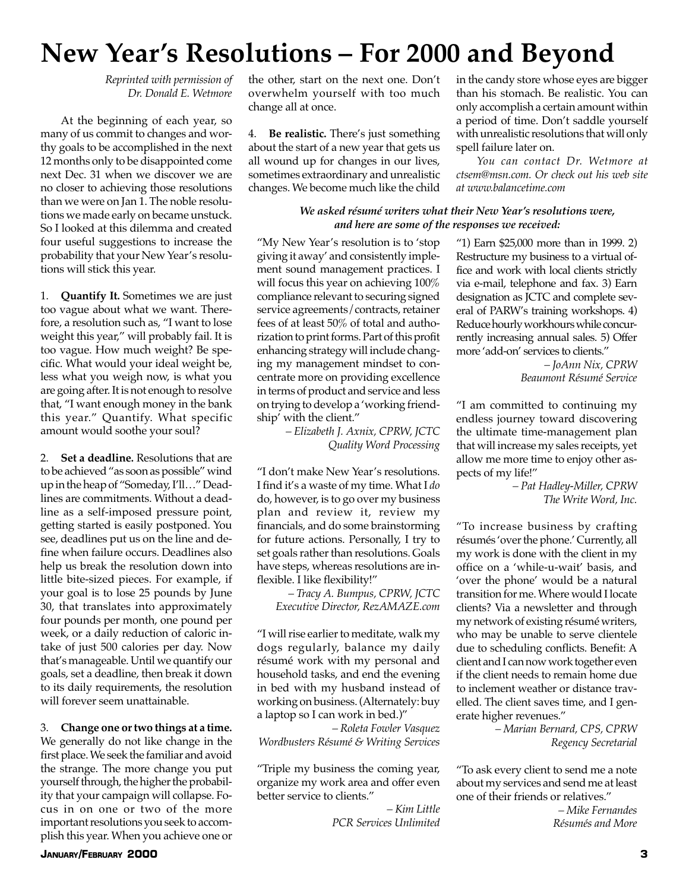## **New Year's Resolutions – For 2000 and Beyond**

*Reprinted with permission of Dr. Donald E. Wetmore*

At the beginning of each year, so many of us commit to changes and worthy goals to be accomplished in the next 12 months only to be disappointed come next Dec. 31 when we discover we are no closer to achieving those resolutions than we were on Jan 1. The noble resolutions we made early on became unstuck. So I looked at this dilemma and created four useful suggestions to increase the probability that your New Year's resolutions will stick this year.

1. **Quantify It.** Sometimes we are just too vague about what we want. Therefore, a resolution such as, "I want to lose weight this year," will probably fail. It is too vague. How much weight? Be specific. What would your ideal weight be, less what you weigh now, is what you are going after. It is not enough to resolve that, "I want enough money in the bank this year." Quantify. What specific amount would soothe your soul?

2. **Set a deadline.** Resolutions that are to be achieved "as soon as possible" wind up in the heap of "Someday, I'll…" Deadlines are commitments. Without a deadline as a self-imposed pressure point, getting started is easily postponed. You see, deadlines put us on the line and define when failure occurs. Deadlines also help us break the resolution down into little bite-sized pieces. For example, if your goal is to lose 25 pounds by June 30, that translates into approximately four pounds per month, one pound per week, or a daily reduction of caloric intake of just 500 calories per day. Now that's manageable. Until we quantify our goals, set a deadline, then break it down to its daily requirements, the resolution will forever seem unattainable.

3. **Change one or two things at a time.** We generally do not like change in the first place. We seek the familiar and avoid the strange. The more change you put yourself through, the higher the probability that your campaign will collapse. Focus in on one or two of the more important resolutions you seek to accomplish this year. When you achieve one or

the other, start on the next one. Don't overwhelm yourself with too much change all at once.

4. **Be realistic.** There's just something about the start of a new year that gets us all wound up for changes in our lives, sometimes extraordinary and unrealistic changes. We become much like the child

in the candy store whose eyes are bigger than his stomach. Be realistic. You can only accomplish a certain amount within a period of time. Don't saddle yourself with unrealistic resolutions that will only spell failure later on.

*You can contact Dr. Wetmore at ctsem@msn.com. Or check out his web site at www.balancetime.com*

#### *We asked résumé writers what their New Year's resolutions were, and here are some of the responses we received:*

"My New Year's resolution is to 'stop giving it away' and consistently implement sound management practices. I will focus this year on achieving 100% compliance relevant to securing signed service agreements/contracts, retainer fees of at least 50% of total and authorization to print forms. Part of this profit enhancing strategy will include changing my management mindset to concentrate more on providing excellence in terms of product and service and less on trying to develop a 'working friendship' with the client."

> *– Elizabeth J. Axnix, CPRW, JCTC Quality Word Processing*

"I don't make New Year's resolutions. I find it's a waste of my time. What I *do* do, however, is to go over my business plan and review it, review my financials, and do some brainstorming for future actions. Personally, I try to set goals rather than resolutions. Goals have steps, whereas resolutions are inflexible. I like flexibility!"

*– Tracy A. Bumpus, CPRW, JCTC Executive Director, RezAMAZE.com*

"I will rise earlier to meditate, walk my dogs regularly, balance my daily résumé work with my personal and household tasks, and end the evening in bed with my husband instead of working on business. (Alternately: buy a laptop so I can work in bed.)"

*– Roleta Fowler Vasquez Wordbusters Résumé & Writing Services*

"Triple my business the coming year, organize my work area and offer even better service to clients."

> *– Kim Little PCR Services Unlimited*

"1) Earn \$25,000 more than in 1999. 2) Restructure my business to a virtual office and work with local clients strictly via e-mail, telephone and fax. 3) Earn designation as JCTC and complete several of PARW's training workshops. 4) Reduce hourly workhours while concurrently increasing annual sales. 5) Offer more 'add-on' services to clients."

> *– JoAnn Nix, CPRW Beaumont Résumé Service*

"I am committed to continuing my endless journey toward discovering the ultimate time-management plan that will increase my sales receipts, yet allow me more time to enjoy other aspects of my life!"

*– Pat Hadley-Miller, CPRW The Write Word, Inc.*

"To increase business by crafting résumés 'over the phone.' Currently, all my work is done with the client in my office on a 'while-u-wait' basis, and 'over the phone' would be a natural transition for me. Where would I locate clients? Via a newsletter and through my network of existing résumé writers, who may be unable to serve clientele due to scheduling conflicts. Benefit: A client and I can now work together even if the client needs to remain home due to inclement weather or distance travelled. The client saves time, and I generate higher revenues."

> *– Marian Bernard, CPS, CPRW Regency Secretarial*

"To ask every client to send me a note about my services and send me at least one of their friends or relatives."

> *– Mike Fernandes Résumés and More*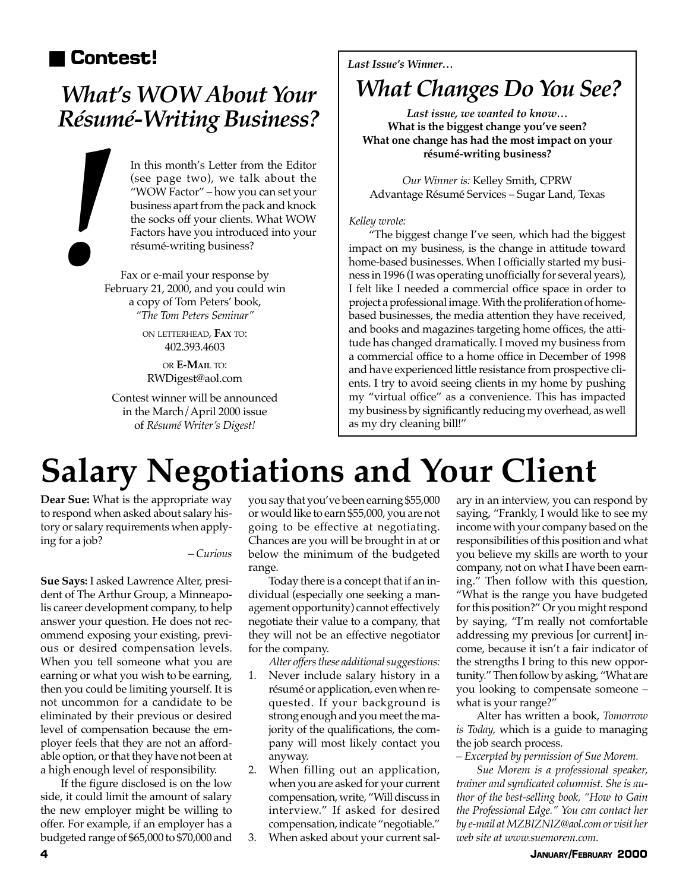## ■ **Contest!** *Last Issue's Winner…*

# *Résumé-Writing Business?*

In this month's Letter from the Editor (see page two), we talk about the "WOW Factor" – how you can set your business apart from the pack and knock the socks off your clients. What WOW In this month's Letter from the Editor<br>(see page two), we talk about the<br>"WOW Factor" – how you can set your<br>business apart from the pack and knock<br>the socks off your clients. What WOW<br>Factors have you introduced into your

Fax or e-mail your response by February 21, 2000, and you could win a copy of Tom Peters' book, *"The Tom Peters Seminar"*

> ON LETTERHEAD, **FAX** TO: 402.393.4603

OR **E-MAIL** TO: RWDigest@aol.com

Contest winner will be announced in the March/April 2000 issue of *Résumé Writer's Digest!*

## *What's WOW About Your* | *What Changes Do You See?*

*Last issue, we wanted to know…* **What is the biggest change you've seen? What one change has had the most impact on your résumé-writing business?**

*Our Winner is:* Kelley Smith, CPRW Advantage Résumé Services – Sugar Land, Texas

#### *Kelley wrote:*

"The biggest change I've seen, which had the biggest impact on my business, is the change in attitude toward home-based businesses. When I officially started my business in 1996 (I was operating unofficially for several years), I felt like I needed a commercial office space in order to project a professional image. With the proliferation of homebased businesses, the media attention they have received, and books and magazines targeting home offices, the attitude has changed dramatically. I moved my business from a commercial office to a home office in December of 1998 and have experienced little resistance from prospective clients. I try to avoid seeing clients in my home by pushing my "virtual office" as a convenience. This has impacted my business by significantly reducing my overhead, as well as my dry cleaning bill!"

## **Salary Negotiations and Your Client**

**Dear Sue:** What is the appropriate way to respond when asked about salary history or salary requirements when applying for a job?

*– Curious*

**Sue Says:** I asked Lawrence Alter, president of The Arthur Group, a Minneapolis career development company, to help answer your question. He does not recommend exposing your existing, previous or desired compensation levels. When you tell someone what you are earning or what you wish to be earning, then you could be limiting yourself. It is not uncommon for a candidate to be eliminated by their previous or desired level of compensation because the employer feels that they are not an affordable option, or that they have not been at a high enough level of responsibility.

If the figure disclosed is on the low side, it could limit the amount of salary the new employer might be willing to offer. For example, if an employer has a budgeted range of \$65,000 to \$70,000 and you say that you've been earning \$55,000 or would like to earn \$55,000, you are not going to be effective at negotiating. Chances are you will be brought in at or below the minimum of the budgeted range.

Today there is a concept that if an individual (especially one seeking a management opportunity) cannot effectively negotiate their value to a company, that they will not be an effective negotiator for the company.

*Alter offers these additional suggestions:*

- 1. Never include salary history in a résumé or application, even when requested. If your background is strong enough and you meet the majority of the qualifications, the company will most likely contact you anyway.
- 2. When filling out an application, when you are asked for your current compensation, write, "Will discuss in interview." If asked for desired compensation, indicate "negotiable."
- 3. When asked about your current sal-

ary in an interview, you can respond by saying, "Frankly, I would like to see my income with your company based on the responsibilities of this position and what you believe my skills are worth to your company, not on what I have been earning." Then follow with this question, "What is the range you have budgeted for this position?" Or you might respond by saying, "I'm really not comfortable addressing my previous [or current] income, because it isn't a fair indicator of the strengths I bring to this new opportunity." Then follow by asking, "What are you looking to compensate someone – what is your range?"

Alter has written a book, *Tomorrow is Today,* which is a guide to managing the job search process.

*– Excerpted by permission of Sue Morem.*

*Sue Morem is a professional speaker, trainer and syndicated columnist. She is author of the best-selling book, "How to Gain the Professional Edge." You can contact her by e-mail at MZBIZNIZ@aol.com or visit her web site at www.suemorem.com.*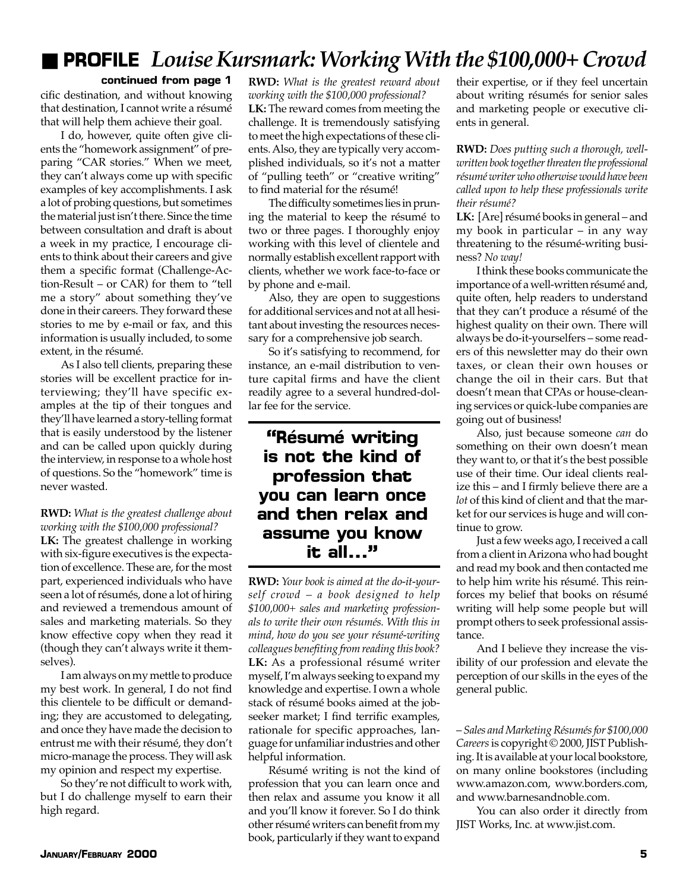## ■ **PROFILE** *Louise Kursmark: Working With the \$100,000+ Crowd*

#### **continued from page 1**

cific destination, and without knowing that destination, I cannot write a résumé that will help them achieve their goal.

I do, however, quite often give clients the "homework assignment" of preparing "CAR stories." When we meet, they can't always come up with specific examples of key accomplishments. I ask a lot of probing questions, but sometimes the material just isn't there. Since the time between consultation and draft is about a week in my practice, I encourage clients to think about their careers and give them a specific format (Challenge-Action-Result – or CAR) for them to "tell me a story" about something they've done in their careers. They forward these stories to me by e-mail or fax, and this information is usually included, to some extent, in the résumé.

As I also tell clients, preparing these stories will be excellent practice for interviewing; they'll have specific examples at the tip of their tongues and they'll have learned a story-telling format that is easily understood by the listener and can be called upon quickly during the interview, in response to a whole host of questions. So the "homework" time is never wasted.

#### **RWD:** *What is the greatest challenge about working with the \$100,000 professional?*

**LK:** The greatest challenge in working with six-figure executives is the expectation of excellence. These are, for the most part, experienced individuals who have seen a lot of résumés, done a lot of hiring and reviewed a tremendous amount of sales and marketing materials. So they know effective copy when they read it (though they can't always write it themselves).

I am always on my mettle to produce my best work. In general, I do not find this clientele to be difficult or demanding; they are accustomed to delegating, and once they have made the decision to entrust me with their résumé, they don't micro-manage the process. They will ask my opinion and respect my expertise.

So they're not difficult to work with, but I do challenge myself to earn their high regard.

**RWD:** *What is the greatest reward about working with the \$100,000 professional?*

**LK:** The reward comes from meeting the challenge. It is tremendously satisfying to meet the high expectations of these clients. Also, they are typically very accomplished individuals, so it's not a matter of "pulling teeth" or "creative writing" to find material for the résumé!

The difficulty sometimes lies in pruning the material to keep the résumé to two or three pages. I thoroughly enjoy working with this level of clientele and normally establish excellent rapport with clients, whether we work face-to-face or by phone and e-mail.

Also, they are open to suggestions for additional services and not at all hesitant about investing the resources necessary for a comprehensive job search.

So it's satisfying to recommend, for instance, an e-mail distribution to venture capital firms and have the client readily agree to a several hundred-dollar fee for the service.

### **"Résumé writing is not the kind of profession that you can learn once and then relax and assume you know it all…"**

**RWD:** *Your book is aimed at the do-it-yourself crowd – a book designed to help \$100,000+ sales and marketing professionals to write their own résumés. With this in mind, how do you see your résumé-writing colleagues benefiting from reading this book?* **LK:** As a professional résumé writer myself, I'm always seeking to expand my knowledge and expertise. I own a whole stack of résumé books aimed at the jobseeker market; I find terrific examples, rationale for specific approaches, language for unfamiliar industries and other helpful information.

Résumé writing is not the kind of profession that you can learn once and then relax and assume you know it all and you'll know it forever. So I do think other résumé writers can benefit from my book, particularly if they want to expand

their expertise, or if they feel uncertain about writing résumés for senior sales and marketing people or executive clients in general.

**RWD:** *Does putting such a thorough, wellwritten book together threaten the professional résumé writer who otherwise would have been called upon to help these professionals write their résumé?*

**LK:** [Are] résumé books in general – and my book in particular – in any way threatening to the résumé-writing business? *No way!*

I think these books communicate the importance of a well-written résumé and, quite often, help readers to understand that they can't produce a résumé of the highest quality on their own. There will always be do-it-yourselfers – some readers of this newsletter may do their own taxes, or clean their own houses or change the oil in their cars. But that doesn't mean that CPAs or house-cleaning services or quick-lube companies are going out of business!

Also, just because someone *can* do something on their own doesn't mean they want to, or that it's the best possible use of their time. Our ideal clients realize this – and I firmly believe there are a *lot* of this kind of client and that the market for our services is huge and will continue to grow.

Just a few weeks ago, I received a call from a client in Arizona who had bought and read my book and then contacted me to help him write his résumé. This reinforces my belief that books on résumé writing will help some people but will prompt others to seek professional assistance.

And I believe they increase the visibility of our profession and elevate the perception of our skills in the eyes of the general public.

– *Sales and Marketing Résumés for \$100,000 Careers* is copyright © 2000, JIST Publishing. It is available at your local bookstore, on many online bookstores (including www.amazon.com, www.borders.com, and www.barnesandnoble.com.

You can also order it directly from JIST Works, Inc. at www.jist.com.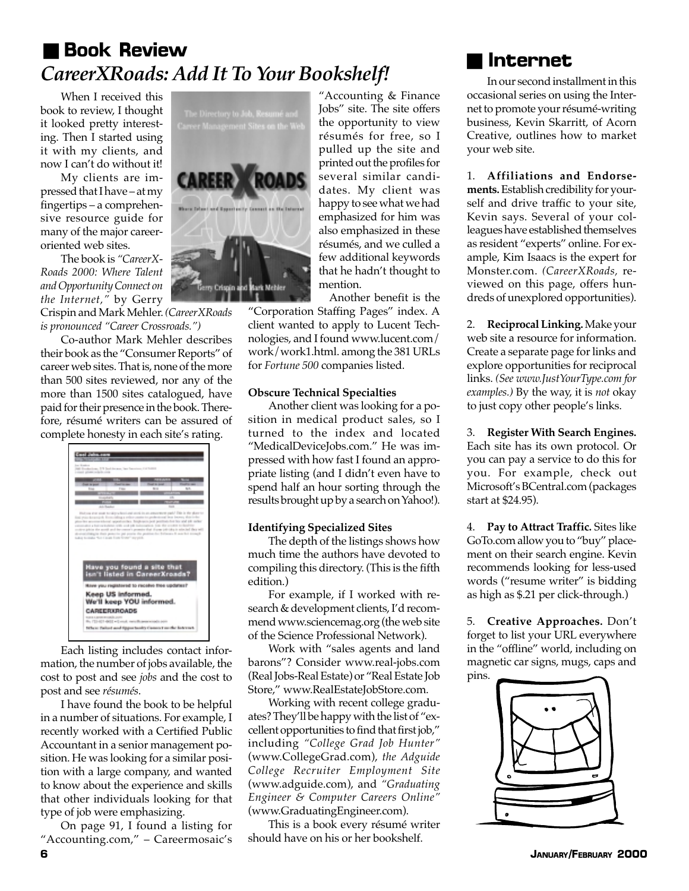## ■ **Book Review** *CareerXRoads: Add It To Your Bookshelf!*

When I received this book to review, I thought it looked pretty interesting. Then I started using it with my clients, and now I can't do without it!

My clients are impressed that I have – at my fingertips – a comprehensive resource guide for many of the major careeroriented web sites.

The book is *"CareerX-Roads 2000: Where Talent and Opportunity Connect on the Internet,"* by Gerry

Crispin and Mark Mehler. *(CareerXRoads is pronounced "Career Crossroads.")*

Co-author Mark Mehler describes their book as the "Consumer Reports" of career web sites. That is, none of the more than 500 sites reviewed, nor any of the more than 1500 sites catalogued, have paid for their presence in the book. Therefore, résumé writers can be assured of complete honesty in each site's rating.



Each listing includes contact information, the number of jobs available, the cost to post and see *jobs* and the cost to post and see *résumés*.

I have found the book to be helpful in a number of situations. For example, I recently worked with a Certified Public Accountant in a senior management position. He was looking for a similar position with a large company, and wanted to know about the experience and skills that other individuals looking for that type of job were emphasizing.

On page 91, I found a listing for "Accounting.com," – Careermosaic's



"Accounting & Finance Jobs" site. The site offers the opportunity to view résumés for free, so I pulled up the site and printed out the profiles for several similar candidates. My client was happy to see what we had emphasized for him was also emphasized in these résumés, and we culled a few additional keywords that he hadn't thought to mention.

Another benefit is the "Corporation Staffing Pages" index. A client wanted to apply to Lucent Technologies, and I found www.lucent.com/ work/work1.html. among the 381 URLs for *Fortune 500* companies listed.

#### **Obscure Technical Specialties**

Another client was looking for a position in medical product sales, so I turned to the index and located "MedicalDeviceJobs.com." He was impressed with how fast I found an appropriate listing (and I didn't even have to spend half an hour sorting through the results brought up by a search on Yahoo!).

#### **Identifying Specialized Sites**

The depth of the listings shows how much time the authors have devoted to compiling this directory. (This is the fifth edition.)

For example, if I worked with research & development clients, I'd recommend www.sciencemag.org (the web site of the Science Professional Network).

Work with "sales agents and land barons"? Consider www.real-jobs.com (Real Jobs-Real Estate) or "Real Estate Job Store," www.RealEstateJobStore.com.

Working with recent college graduates? They'll be happy with the list of "excellent opportunities to find that first job," including *"College Grad Job Hunter"* (www.CollegeGrad.com), *the Adguide College Recruiter Employment Site* (www.adguide.com), and *"Graduating Engineer & Computer Careers Online"* (www.GraduatingEngineer.com).

This is a book every résumé writer should have on his or her bookshelf.



In our second installment in this occasional series on using the Internet to promote your résumé-writing business, Kevin Skarritt, of Acorn Creative, outlines how to market your web site.

1. **Affiliations and Endorsements.** Establish credibility for yourself and drive traffic to your site, Kevin says. Several of your colleagues have established themselves as resident "experts" online. For example, Kim Isaacs is the expert for Monster.com. *(CareerXRoads,* reviewed on this page, offers hundreds of unexplored opportunities).

2. **Reciprocal Linking.** Make your web site a resource for information. Create a separate page for links and explore opportunities for reciprocal links. *(See www.JustYourType.com for examples.)* By the way, it is *not* okay to just copy other people's links.

3. **Register With Search Engines.** Each site has its own protocol. Or you can pay a service to do this for you. For example, check out Microsoft's BCentral.com (packages start at \$24.95).

4. **Pay to Attract Traffic.** Sites like GoTo.com allow you to "buy" placement on their search engine. Kevin recommends looking for less-used words ("resume writer" is bidding as high as \$.21 per click-through.)

5. **Creative Approaches.** Don't forget to list your URL everywhere in the "offline" world, including on magnetic car signs, mugs, caps and pins.

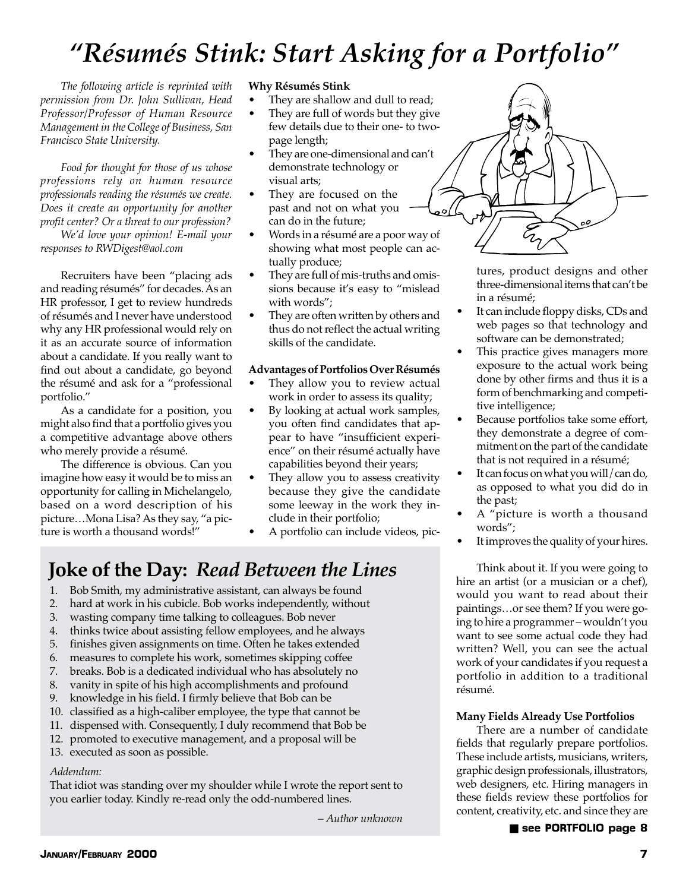## *"Résumés Stink: Start Asking for a Portfolio"*

*The following article is reprinted with permission from Dr. John Sullivan, Head Professor/Professor of Human Resource Management in the College of Business, San Francisco State University.*

*Food for thought for those of us whose professions rely on human resource professionals reading the résumés we create. Does it create an opportunity for another profit center? Or a threat to our profession?*

*We'd love your opinion! E-mail your responses to RWDigest@aol.com*

Recruiters have been "placing ads and reading résumés" for decades. As an HR professor, I get to review hundreds of résumés and I never have understood why any HR professional would rely on it as an accurate source of information about a candidate. If you really want to find out about a candidate, go beyond the résumé and ask for a "professional portfolio."

As a candidate for a position, you might also find that a portfolio gives you a competitive advantage above others who merely provide a résumé.

The difference is obvious. Can you imagine how easy it would be to miss an opportunity for calling in Michelangelo, based on a word description of his picture…Mona Lisa? As they say, "a picture is worth a thousand words!"

#### **Why Résumés Stink**

- They are shallow and dull to read;
- They are full of words but they give few details due to their one- to twopage length;
- They are one-dimensional and can't demonstrate technology or visual arts;
- They are focused on the past and not on what you can do in the future;
- Words in a résumé are a poor way of showing what most people can actually produce;
- They are full of mis-truths and omissions because it's easy to "mislead with words";
- They are often written by others and thus do not reflect the actual writing skills of the candidate.

#### **Advantages of Portfolios Over Résumés**

- They allow you to review actual work in order to assess its quality;
- By looking at actual work samples, you often find candidates that appear to have "insufficient experience" on their résumé actually have capabilities beyond their years;
- They allow you to assess creativity because they give the candidate some leeway in the work they include in their portfolio;
- A portfolio can include videos, pic-

## **Joke of the Day:** *Read Between the Lines*

- 1. Bob Smith, my administrative assistant, can always be found
- 2. hard at work in his cubicle. Bob works independently, without
- 3. wasting company time talking to colleagues. Bob never
- 4. thinks twice about assisting fellow employees, and he always
- 5. finishes given assignments on time. Often he takes extended
- 6. measures to complete his work, sometimes skipping coffee
- 7. breaks. Bob is a dedicated individual who has absolutely no
- 8. vanity in spite of his high accomplishments and profound
- 9. knowledge in his field. I firmly believe that Bob can be
- 10. classified as a high-caliber employee, the type that cannot be
- 11. dispensed with. Consequently, I duly recommend that Bob be
- 12. promoted to executive management, and a proposal will be
- 13. executed as soon as possible.

#### *Addendum:*

That idiot was standing over my shoulder while I wrote the report sent to you earlier today. Kindly re-read only the odd-numbered lines.

*– Author unknown*

 $\overrightarrow{c_{1}}$ 

tures, product designs and other three-dimensional items that can't be in a résumé;

- It can include floppy disks, CDs and web pages so that technology and software can be demonstrated;
- This practice gives managers more exposure to the actual work being done by other firms and thus it is a form of benchmarking and competitive intelligence;
- Because portfolios take some effort, they demonstrate a degree of commitment on the part of the candidate that is not required in a résumé;
- It can focus on what you will/can do, as opposed to what you did do in the past;
- A "picture is worth a thousand words";
- It improves the quality of your hires.

Think about it. If you were going to hire an artist (or a musician or a chef), would you want to read about their paintings…or see them? If you were going to hire a programmer – wouldn't you want to see some actual code they had written? Well, you can see the actual work of your candidates if you request a portfolio in addition to a traditional résumé.

#### **Many Fields Already Use Portfolios**

There are a number of candidate fields that regularly prepare portfolios. These include artists, musicians, writers, graphic design professionals, illustrators, web designers, etc. Hiring managers in these fields review these portfolios for content, creativity, etc. and since they are

#### ■ **see PORTFOLIO page 8**